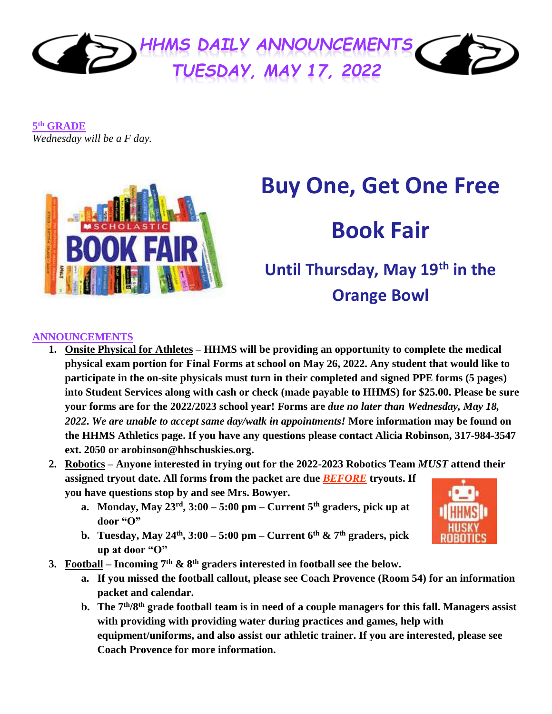

**5 th GRADE** *Wednesday will be a F day.*



# **Buy One, Get One Free**

## **Book Fair**

### **Until Thursday, May 19th in the Orange Bowl**

#### **ANNOUNCEMENTS**

- **1. Onsite Physical for Athletes – HHMS will be providing an opportunity to complete the medical physical exam portion for Final Forms at school on May 26, 2022. Any student that would like to participate in the on-site physicals must turn in their completed and signed PPE forms (5 pages) into Student Services along with cash or check (made payable to HHMS) for \$25.00. Please be sure your forms are for the 2022/2023 school year! Forms are** *due no later than Wednesday, May 18, 2022***.** *We are unable to accept same day/walk in appointments!* **More information may be found on the HHMS Athletics page. If you have any questions please contact Alicia Robinson, 317-984-3547 ext. 2050 or arobinson@hhschuskies.org.**
- **2. Robotics – Anyone interested in trying out for the 2022-2023 Robotics Team** *MUST* **attend their assigned tryout date. All forms from the packet are due** *BEFORE* **tryouts. If you have questions stop by and see Mrs. Bowyer.**
	- **a. Monday, May 23rd, 3:00 – 5:00 pm – Current 5th graders, pick up at door "O"**
	- **b. Tuesday, May 24<sup>th</sup>, 3:00 5:00 pm Current 6<sup>th</sup> & 7<sup>th</sup> graders, pick up at door "O"**
- **3. Football – Incoming 7th & 8th graders interested in football see the below.**
	- **a. If you missed the football callout, please see Coach Provence (Room 54) for an information packet and calendar.**
	- **b. The 7th/8th grade football team is in need of a couple managers for this fall. Managers assist with providing with providing water during practices and games, help with equipment/uniforms, and also assist our athletic trainer. If you are interested, please see Coach Provence for more information.**

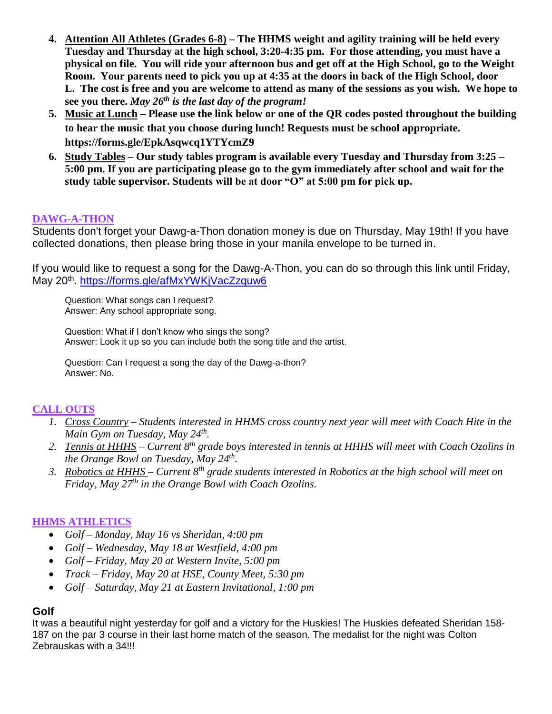- **4. Attention All Athletes (Grades 6-8) – The HHMS weight and agility training will be held every Tuesday and Thursday at the high school, 3:20-4:35 pm. For those attending, you must have a physical on file. You will ride your afternoon bus and get off at the High School, go to the Weight Room. Your parents need to pick you up at 4:35 at the doors in back of the High School, door L. The cost is free and you are welcome to attend as many of the sessions as you wish. We hope to see you there.** *May 26th is the last day of the program!*
- **5. Music at Lunch – Please use the link below or one of the QR codes posted throughout the building to hear the music that you choose during lunch! Requests must be school appropriate. <https://forms.gle/EpkAsqwcq1YTYcmZ9>**
- **6. Study Tables – Our study tables program is available every Tuesday and Thursday from 3:25 – 5:00 pm. If you are participating please go to the gym immediately after school and wait for the study table supervisor. Students will be at door "O" at 5:00 pm for pick up.**

#### **DAWG-A-THON**

Students don't forget your Dawg-a-Thon donation money is due on Thursday, May 19th! If you have collected donations, then please bring those in your manila envelope to be turned in.

If you would like to request a song for the Dawg-A-Thon, you can do so through this link until Friday, May 20<sup>th</sup>.<https://forms.gle/afMxYWKjVacZzquw6>

Question: What songs can I request? Answer: Any school appropriate song.

Question: What if I don't know who sings the song? Answer: Look it up so you can include both the song title and the artist.

Question: Can I request a song the day of the Dawg-a-thon? Answer: No.

#### **CALL OUTS**

- *1. Cross Country – Students interested in HHMS cross country next year will meet with Coach Hite in the Main Gym on Tuesday, May 24th .*
- *2. Tennis at HHHS – Current 8th grade boys interested in tennis at HHHS will meet with Coach Ozolins in the Orange Bowl on Tuesday, May 24th .*
- *3. Robotics at HHHS – Current 8th grade students interested in Robotics at the high school will meet on Friday, May 27th in the Orange Bowl with Coach Ozolins.*

#### **HHMS ATHLETICS**

- *Golf – Monday, May 16 vs Sheridan, 4:00 pm*
- *Golf – Wednesday, May 18 at Westfield, 4:00 pm*
- *Golf – Friday, May 20 at Western Invite, 5:00 pm*
- *Track – Friday, May 20 at HSE, County Meet, 5:30 pm*
- *Golf – Saturday, May 21 at Eastern Invitational, 1:00 pm*

#### **Golf**

It was a beautiful night yesterday for golf and a victory for the Huskies! The Huskies defeated Sheridan 158- 187 on the par 3 course in their last home match of the season. The medalist for the night was Colton Zebrauskas with a 34!!!